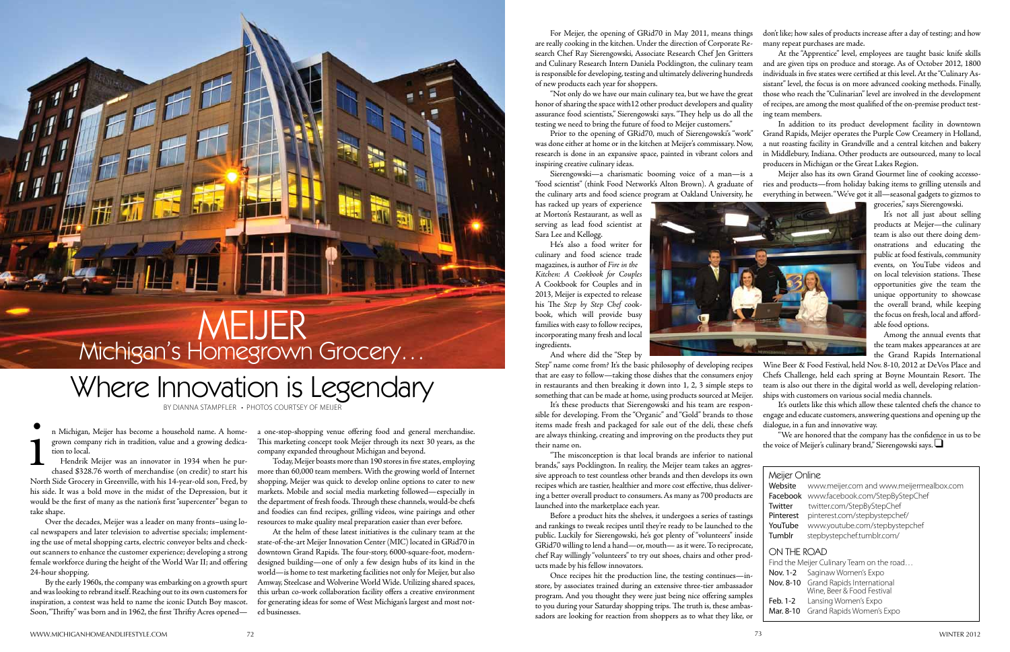by Dianna Stampfler • PHotos courtsey of Meijer

i<br>1 n Michigan, Meijer has become a household name. A homegrown company rich in tradition, value and a growing dedication to local.

TEFE

Hendrik Meijer was an innovator in 1934 when he purchased \$328.76 worth of merchandise (on credit) to start his North Side Grocery in Greenville, with his 14-year-old son, Fred, by his side. It was a bold move in the midst of the Depression, but it would be the first of many as the nation's first "supercenter" began to take shape.

Over the decades, Meijer was a leader on many fronts–using local newspapers and later television to advertise specials; implementing the use of metal shopping carts, electric conveyor belts and checkout scanners to enhance the customer experience; developing a strong female workforce during the height of the World War II; and offering 24-hour shopping.

By the early 1960s, the company was embarking on a growth spurt and was looking to rebrand itself. Reaching out to its own customers for inspiration, a contest was held to name the iconic Dutch Boy mascot. Soon, "Thrifty" was born and in 1962, the first Thrifty Acres opened—

a one-stop-shopping venue offering food and general merchandise. This marketing concept took Meijer through its next 30 years, as the company expanded throughout Michigan and beyond.

Today, Meijer boasts more than 190 stores in five states, employing more than 60,000 team members. With the growing world of Internet shopping, Meijer was quick to develop online options to cater to new markets. Mobile and social media marketing followed—especially in the department of fresh foods. Through these channels, would-be chefs and foodies can find recipes, grilling videos, wine pairings and other resources to make quality meal preparation easier than ever before.

At the helm of these latest initiatives is the culinary team at the state-of-the-art Meijer Innovation Center (MIC) located in GRid70 in downtown Grand Rapids. The four-story, 6000-square-foot, moderndesigned building—one of only a few design hubs of its kind in the world—is home to test marketing facilities not only for Meijer, but also Amway, Steelcase and Wolverine World Wide. Utilizing shared spaces, this urban co-work collaboration facility offers a creative environment for generating ideas for some of West Michigan's largest and most noted businesses.

has racked up years of experience at Morton's Restaurant, as well as serving as lead food scientist at Sara Lee and Kellogg.

He's also a food writer for culinary and food science trade magazines, is author of *Fire in the Kitchen: A Cookbook for Couples*  A Cookbook for Couples and in 2013, Meijer is expected to release his The *Step by Step Chef* cookbook, which will provide busy families with easy to follow recipes, incorporating many fresh and local ingredients.



It's these products that Sierengowski and his team are responsible for developing. From the "Organic" and "Gold" brands to those items made fresh and packaged for sale out of the deli, these chefs are always thinking, creating and improving on the products they put their name on. It's outlets like this which allow these talented chefs the chance to engage and educate customers, answering questions and opening up the dialogue, in a fun and innovative way. "We are honored that the company has the confidence in us to be the voice of Meijer's culinary brand," Sierengowski says. q

# **MEIJER** Michigan's Homegrown Grocery…

And where did the "Step by

For Meijer, the opening of GRid70 in May 2011, means things are really cooking in the kitchen. Under the direction of Corporate Research Chef Ray Sierengowski, Associate Research Chef Jen Gritters and Culinary Research Intern Daniela Pocklington, the culinary team is responsible for developing, testing and ultimately delivering hundreds of new products each year for shoppers. "Not only do we have our main culinary tea, but we have the great honor of sharing the space with12 other product developers and quality assurance food scientists," Sierengowski says. "They help us do all the don't like; how sales of products increase after a day of testing; and how many repeat purchases are made. At the "Apprentice" level, employees are taught basic knife skills and are given tips on produce and storage. As of October 2012, 1800 individuals in five states were certified at this level. At the "Culinary Assistant" level, the focus is on more advanced cooking methods. Finally, those who reach the "Culinarian" level are involved in the development of recipes, are among the most qualified of the on-premise product testing team members.

"The misconception is that local brands are inferior to national brands," says Pocklington. In reality, the Meijer team takes an aggressive approach to test countless other brands and then develops its own recipes which are tastier, healthier and more cost effective, thus delivering a better overall product to consumers. As many as 700 products are launched into the marketplace each year.

testing we need to bring the future of food to Meijer customers." Prior to the opening of GRid70, much of Sierengowski's "work" was done either at home or in the kitchen at Meijer's commissary. Now, research is done in an expansive space, painted in vibrant colors and inspiring creative culinary ideas. In addition to its product development facility in downtown Grand Rapids, Meijer operates the Purple Cow Creamery in Holland, a nut roasting facility in Grandville and a central kitchen and bakery in Middlebury, Indiana. Other products are outsourced, many to local producers in Michigan or the Great Lakes Region.

Sierengowski—a charismatic booming voice of a man—is a "food scientist" (think Food Network's Alton Brown). A graduate of the culinary arts and food science program at Oakland University, he Meijer also has its own Grand Gourmet line of cooking accessories and products—from holiday baking items to grilling utensils and everything in between. "We've got it all—seasonal gadgets to gizmos to

Before a product hits the shelves, it undergoes a series of tastings and rankings to tweak recipes until they're ready to be launched to the public. Luckily for Sierengowski, he's got plenty of "volunteers" inside GRid70 willing to lend a hand—or, mouth— as it were. To reciprocate, chef Ray willingly "volunteers" to try out shoes, chairs and other products made by his fellow innovators.

Once recipes hit the production line, the testing continues—instore, by associates trained during an extensive three-tier ambassador program. And you thought they were just being nice offering samples to you during your Saturday shopping trips. The truth is, these ambassadors are looking for reaction from shoppers as to what they like, or

Step" name come from? It's the basic philosophy of developing recipes that are easy to follow—taking those dishes that the consumers enjoy in restaurants and then breaking it down into 1, 2, 3 simple steps to something that can be made at home, using products sourced at Meijer. Wine Beer & Food Festival, held Nov. 8-10, 2012 at DeVos Place and Chefs Challenge, held each spring at Boyne Mountain Resort. The team is also out there in the digital world as well, developing relationships with customers on various social media channels.

groceries," says Sierengowski.

It's not all just about selling products at Meijer—the culinary team is also out there doing demonstrations and educating the public at food festivals, community events, on YouTube videos and on local television stations. These opportunities give the team the unique opportunity to showcase the overall brand, while keeping the focus on fresh, local and affordable food options.

Among the annual events that the team makes appearances at are the Grand Rapids International

# Where Innovation is Legendary

| Meijer Online<br>Website<br>Facebook<br>Twitter<br>Pinterest<br>YouTube<br>Tumblr            | www.meijer.com and www.meijermealbox.com<br>www.facebook.com/StepByStepChef<br>twitter.com/StepByStepChef<br>pinterest.com/stepbystepchef/<br>www.youtube.com/stepbystepchef<br>stepbystepchef.tumblr.com/ |  |
|----------------------------------------------------------------------------------------------|------------------------------------------------------------------------------------------------------------------------------------------------------------------------------------------------------------|--|
| ON THE ROAD<br>Find the Meijer Culinary Team on the road<br>Saginaw Women's Expo<br>Nov. 1-2 |                                                                                                                                                                                                            |  |
|                                                                                              | Nov. 8-10 Grand Rapids International<br>Wine, Beer & Food Festival                                                                                                                                         |  |
| Feb. 1-2<br>Mar. 8-10                                                                        | Lansing Women's Expo<br>Grand Rapids Women's Expo                                                                                                                                                          |  |